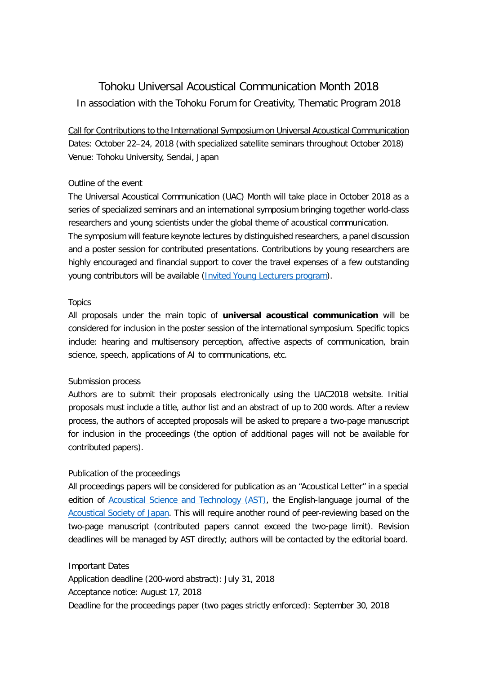# Tohoku Universal Acoustical Communication Month 2018 In association with the Tohoku Forum for Creativity, Thematic Program 2018

Call for Contributions to the International Symposium on Universal Acoustical Communication Dates: October 22–24, 2018 (with specialized satellite seminars throughout October 2018) Venue: Tohoku University, Sendai, Japan

#### Outline of the event

The Universal Acoustical Communication (UAC) Month will take place in October 2018 as a series of specialized seminars and an international symposium bringing together world-class researchers and young scientists under the global theme of acoustical communication. The symposium will feature keynote lectures by distinguished researchers, a panel discussion and a poster session for contributed presentations. Contributions by young researchers are highly encouraged and financial support to cover the travel expenses of a few outstanding young contributors will be available [\(Invited Young Lecturers program\)](http://www.tfc.tohoku.ac.jp/wp-content/uploads/2018/10/2018UAC_IYL_R1.pdf).

#### **Topics**

All proposals under the main topic of **universal acoustical communication** will be considered for inclusion in the poster session of the international symposium. Specific topics include: hearing and multisensory perception, affective aspects of communication, brain science, speech, applications of AI to communications, etc.

#### Submission process

Authors are to submit their proposals electronically using the UAC2018 website. Initial proposals must include a title, author list and an abstract of up to 200 words. After a review process, the authors of accepted proposals will be asked to prepare a two-page manuscript for inclusion in the proceedings (the option of additional pages will not be available for contributed papers).

#### Publication of the proceedings

All proceedings papers will be considered for publication as an "Acoustical Letter" in a special edition of [Acoustical Science and Technology \(AST\),](https://www.jstage.jst.go.jp/browse/ast/-char/en) the English-language journal of the [Acoustical Society of Japan.](http://www.asj.gr.jp/eng/AST/index.html) This will require another round of peer-reviewing based on the two-page manuscript (contributed papers cannot exceed the two-page limit). Revision deadlines will be managed by AST directly; authors will be contacted by the editorial board.

Important Dates

Application deadline (200-word abstract): July 31, 2018 Acceptance notice: August 17, 2018 Deadline for the proceedings paper (two pages strictly enforced): September 30, 2018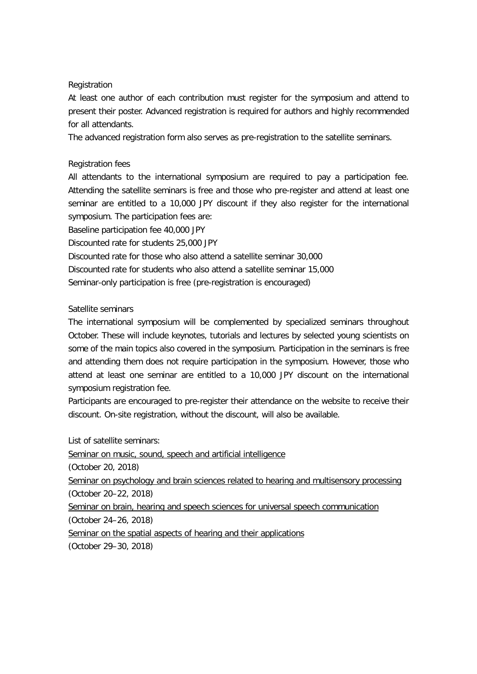#### **Registration**

At least one author of each contribution must register for the symposium and attend to present their poster. Advanced registration is required for authors and highly recommended for all attendants.

The advanced registration form also serves as pre-registration to the satellite seminars.

## Registration fees

All attendants to the international symposium are required to pay a participation fee. Attending the satellite seminars is free and those who pre-register and attend at least one seminar are entitled to a 10,000 JPY discount if they also register for the international symposium. The participation fees are:

Baseline participation fee 40,000 JPY

Discounted rate for students 25,000 JPY

Discounted rate for those who also attend a satellite seminar 30,000

Discounted rate for students who also attend a satellite seminar 15,000

Seminar-only participation is free (pre-registration is encouraged)

# Satellite seminars

The international symposium will be complemented by specialized seminars throughout October. These will include keynotes, tutorials and lectures by selected young scientists on some of the main topics also covered in the symposium. Participation in the seminars is free and attending them does not require participation in the symposium. However, those who attend at least one seminar are entitled to a 10,000 JPY discount on the international symposium registration fee.

Participants are encouraged to pre-register their attendance on the website to receive their discount. On-site registration, without the discount, will also be available.

List of satellite seminars:

Seminar on music, sound, speech and artificial intelligence (October 20, 2018) Seminar on psychology and brain sciences related to hearing and multisensory processing (October 20–22, 2018) Seminar on brain, hearing and speech sciences for universal speech communication (October 24–26, 2018) Seminar on the spatial aspects of hearing and their applications (October 29–30, 2018)